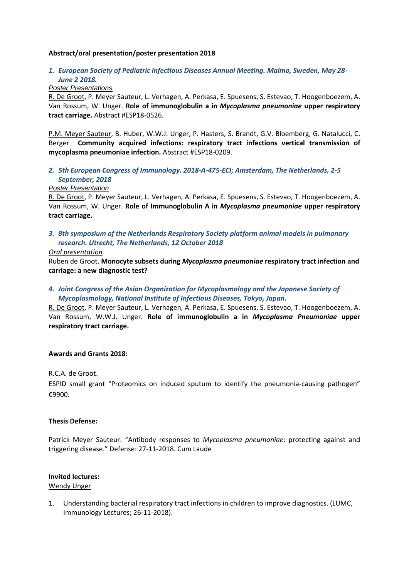### **Abstract/oral presentation/poster presentation 2018**

# *1. European Society of Pediatric Infectious Diseases Annual Meeting. Malmo, Sweden, May 28- June 2 2018.*

### *Poster Presentations*

R. De Groot, P. Meyer Sauteur, L. Verhagen, A. Perkasa, E. Spuesens, S. Estevao, T. Hoogenboezem, A. Van Rossum, W. Unger. **Role of immunoglobulin a in** *Mycoplasma pneumoniae* **upper respiratory tract carriage.** Abstract #ESP18-0526.

P.M. Meyer Sauteur, B. Huber, W.W.J. Unger, P. Hasters, S. Brandt, G.V. Bloemberg, G. Natalucci, C. Berger **Community acquired infections: respiratory tract infections vertical transmission of mycoplasma pneumoniae infection.** Abstract #ESP18-0209.

## *2. 5th European Congress of Immunology. 2018-A-475-ECI; Amsterdam, The Netherlands, 2-5 September, 2018*

### *Poster Presentation*

R. De Groot, P. Meyer Sauteur, L. Verhagen, A. Perkasa, E. Spuesens, S. Estevao, T. Hoogenboezem, A. Van Rossum, W. Unger. **Role of Immunoglobulin A in** *Mycoplasma pneumoniae* **upper respiratory tract carriage.**

## *3. 8th symposium of the Netherlands Respiratory Society platform animal models in pulmonary research. Utrecht, The Netherlands, 12 October 2018*

### *Oral presentation*

Ruben de Groot. **Monocyte subsets during** *Mycoplasma pneumoniae* **respiratory tract infection and carriage: a new diagnostic test?**

## *4. Joint Congress of the Asian Organization for Mycoplasmology and the Japanese Society of Mycoplasmology, National Institute of Infectious Diseases, Tokyo, Japan.*

R. De Groot, P. Meyer Sauteur, L. Verhagen, A. Perkasa, E. Spuesens, S. Estevao, T. Hoogenboezem, A. Van Rossum, W.W.J. Unger. **Role of immunoglobulin a in** *Mycoplasma Pneumoniae* **upper respiratory tract carriage.**

### **Awards and Grants 2018:**

R.C.A. de Groot.

ESPID small grant "Proteomics on induced sputum to identify the pneumonia-causing pathogen" €9900.

### **Thesis Defense:**

Patrick Meyer Sauteur. "Antibody responses to *Mycoplasma pneumoniae*: protecting against and triggering disease." Defense: 27-11-2018. Cum Laude

## **Invited lectures:**

### Wendy Unger

1. Understanding bacterial respiratory tract infections in children to improve diagnostics. (LUMC, Immunology Lectures; 26-11-2018).